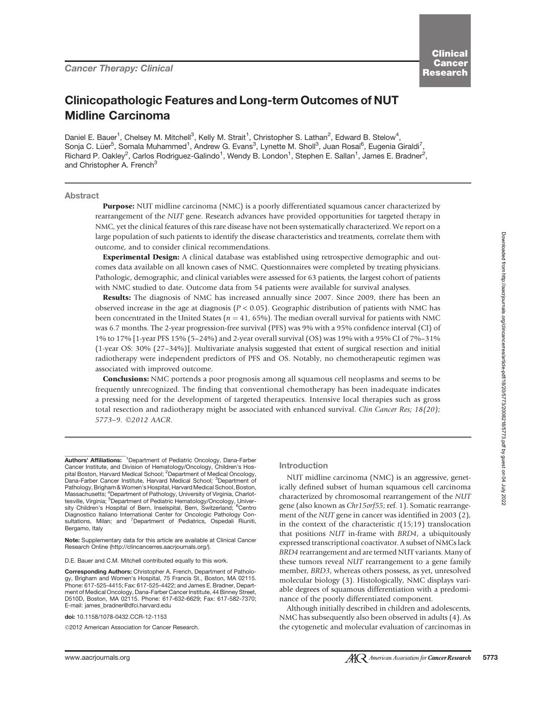# Clinicopathologic Features and Long-term Outcomes of NUT Midline Carcinoma

Daniel E. Bauer<sup>1</sup>, Chelsey M. Mitchell<sup>3</sup>, Kelly M. Strait<sup>1</sup>, Christopher S. Lathan<sup>2</sup>, Edward B. Stelow<sup>4</sup>, Sonja C. Lüer<sup>5</sup>, Somala Muhammed<sup>1</sup>, Andrew G. Evans<sup>3</sup>, Lynette M. Sholl<sup>3</sup>, Juan Rosai<sup>6</sup>, Eugenia Giraldi<sup>7</sup>, Richard P. Oakley<sup>2</sup>, Carlos Rodriguez-Galindo<sup>1</sup>, Wendy B. London<sup>1</sup>, Stephen E. Sallan<sup>1</sup>, James E. Bradner<sup>2</sup>, and Christopher A. French<sup>3</sup>

# Abstract

Purpose: NUT midline carcinoma (NMC) is a poorly differentiated squamous cancer characterized by rearrangement of the NUT gene. Research advances have provided opportunities for targeted therapy in NMC, yet the clinical features of this rare disease have not been systematically characterized. We report on a large population of such patients to identify the disease characteristics and treatments, correlate them with outcome, and to consider clinical recommendations.

**Experimental Design:** A clinical database was established using retrospective demographic and outcomes data available on all known cases of NMC. Questionnaires were completed by treating physicians. Pathologic, demographic, and clinical variables were assessed for 63 patients, the largest cohort of patients with NMC studied to date. Outcome data from 54 patients were available for survival analyses.

Results: The diagnosis of NMC has increased annually since 2007. Since 2009, there has been an observed increase in the age at diagnosis ( $P < 0.05$ ). Geographic distribution of patients with NMC has been concentrated in the United States ( $n = 41, 65\%$ ). The median overall survival for patients with NMC was 6.7 months. The 2-year progression-free survival (PFS) was 9% with a 95% confidence interval (CI) of 1% to 17% [1-year PFS 15% (5–24%) and 2-year overall survival (OS) was 19% with a 95% CI of 7%–31% (1-year OS: 30% (27–34%)]. Multivariate analysis suggested that extent of surgical resection and initial radiotherapy were independent predictors of PFS and OS. Notably, no chemotherapeutic regimen was associated with improved outcome.

Conclusions: NMC portends a poor prognosis among all squamous cell neoplasms and seems to be frequently unrecognized. The finding that conventional chemotherapy has been inadequate indicates a pressing need for the development of targeted therapeutics. Intensive local therapies such as gross total resection and radiotherapy might be associated with enhanced survival. Clin Cancer Res; 18(20); 5773-9. 20012 AACR.

doi: 10.1158/1078-0432.CCR-12-1153

©2012 American Association for Cancer Research.

## Introduction

NUT midline carcinoma (NMC) is an aggressive, genetically defined subset of human squamous cell carcinoma characterized by chromosomal rearrangement of the NUT gene (also known as Chr15orf55; ref. 1). Somatic rearrangement of the NUT gene in cancer was identified in 2003 (2), in the context of the characteristic  $t(15;19)$  translocation that positions NUT in-frame with BRD4, a ubiquitously expressed transcriptional coactivator. A subset of NMCs lack BRD4 rearrangement and are termed NUT variants. Many of these tumors reveal NUT rearrangement to a gene family member, BRD3, whereas others possess, as yet, unresolved molecular biology (3). Histologically, NMC displays variable degrees of squamous differentiation with a predominance of the poorly differentiated component.

Although initially described in children and adolescents, NMC has subsequently also been observed in adults (4). As the cytogenetic and molecular evaluation of carcinomas in

Authors' Affiliations: <sup>1</sup>Department of Pediatric Oncology, Dana-Farber Cancer Institute, and Division of Hematology/Oncology, Children's Hospital Boston, Harvard Medical School; <sup>2</sup>Department of Medical Oncology, Dana-Farber Cancer Institute, Harvard Medical School; <sup>3</sup>Department of Pathology, Brigham & Women's Hospital, Harvard Medical School, Boston, Massachusetts; <sup>4</sup>Department of Pathology, University of Virginia, Charlot-<br>tesville, Virginia; <sup>5</sup>Department of Pediatric Hematology/Oncology, Univer-<br>sity Children's Hospital of Bern, Inselspital, Bern, Switzerland; <sup>6</sup>C Diagnostico Italiano International Center for Oncologic Pathology Consultations, Milan; and <sup>7</sup>Department of Pediatrics, Ospedali Riuniti, Bergamo, Italy

Note: Supplementary data for this article are available at Clinical Cancer Research Online (http://clincancerres.aacrjournals.org/).

D.E. Bauer and C.M. Mitchell contributed equally to this work.

Corresponding Authors: Christopher A. French, Department of Pathology, Brigham and Women's Hospital, 75 Francis St., Boston, MA 02115. Phone: 617-525-4415; Fax: 617-525-4422; and James E. Bradner, Department of Medical Oncology, Dana-Farber Cancer Institute, 44 Binney Street, D510D, Boston, MA 02115. Phone: 617-632-6629; Fax: 617-582-7370; E-mail: james\_bradner@dfci.harvard.edu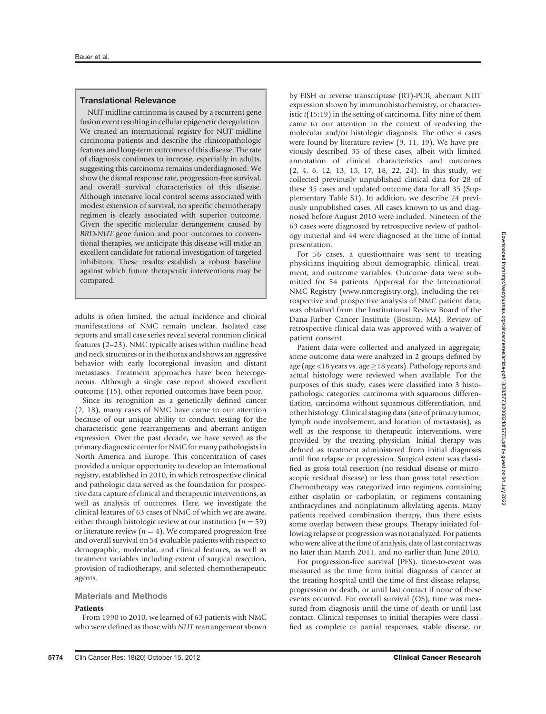# Translational Relevance

NUT midline carcinoma is caused by a recurrent gene fusion event resulting in cellular epigenetic deregulation. We created an international registry for NUT midline carcinoma patients and describe the clinicopathologic features and long-term outcomes of this disease. The rate of diagnosis continues to increase, especially in adults, suggesting this carcinoma remains underdiagnosed. We show the dismal response rate, progression-free survival, and overall survival characteristics of this disease. Although intensive local control seems associated with modest extension of survival, no specific chemotherapy regimen is clearly associated with superior outcome. Given the specific molecular derangement caused by BRD-NUT gene fusion and poor outcomes to conventional therapies, we anticipate this disease will make an excellent candidate for rational investigation of targeted inhibitors. These results establish a robust baseline against which future therapeutic interventions may be compared.

adults is often limited, the actual incidence and clinical manifestations of NMC remain unclear. Isolated case reports and small case series reveal several common clinical features (2–23). NMC typically arises within midline head and neck structures or in the thorax and shows an aggressive behavior with early locoregional invasion and distant metastases. Treatment approaches have been heterogeneous. Although a single case report showed excellent outcome (15), other reported outcomes have been poor.

Since its recognition as a genetically defined cancer (2, 18), many cases of NMC have come to our attention because of our unique ability to conduct testing for the characteristic gene rearrangements and aberrant antigen expression. Over the past decade, we have served as the primary diagnostic center for NMC for many pathologists in North America and Europe. This concentration of cases provided a unique opportunity to develop an international registry, established in 2010, in which retrospective clinical and pathologic data served as the foundation for prospective data capture of clinical and therapeutic interventions, as well as analysis of outcomes. Here, we investigate the clinical features of 63 cases of NMC of which we are aware, either through histologic review at our institution ( $n = 59$ ) or literature review ( $n = 4$ ). We compared progression-free and overall survival on 54 evaluable patients with respect to demographic, molecular, and clinical features, as well as treatment variables including extent of surgical resection, provision of radiotherapy, and selected chemotherapeutic agents.

### Materials and Methods

# **Patients**

From 1990 to 2010, we learned of 63 patients with NMC who were defined as those with NUT rearrangement shown by FISH or reverse transcriptase (RT)-PCR, aberrant NUT expression shown by immunohistochemistry, or characteristic  $t(15;19)$  in the setting of carcinoma. Fifty-nine of them came to our attention in the context of rendering the molecular and/or histologic diagnosis. The other 4 cases were found by literature review (9, 11, 19). We have previously described 35 of these cases, albeit with limited annotation of clinical characteristics and outcomes (2, 4, 6, 12, 13, 15, 17, 18, 22, 24). In this study, we collected previously unpublished clinical data for 28 of these 35 cases and updated outcome data for all 35 (Supplementary Table S1). In addition, we describe 24 previously unpublished cases. All cases known to us and diagnosed before August 2010 were included. Nineteen of the 63 cases were diagnosed by retrospective review of pathology material and 44 were diagnosed at the time of initial presentation.

For 56 cases, a questionnaire was sent to treating physicians inquiring about demographic, clinical, treatment, and outcome variables. Outcome data were submitted for 54 patients. Approval for the International NMC Registry (www.nmcregistry.org), including the retrospective and prospective analysis of NMC patient data, was obtained from the Institutional Review Board of the Dana-Farber Cancer Institute (Boston, MA). Review of retrospective clinical data was approved with a waiver of patient consent.

Patient data were collected and analyzed in aggregate; some outcome data were analyzed in 2 groups defined by age (age <18 years vs. age  $\geq$ 18 years). Pathology reports and actual histology were reviewed when available. For the purposes of this study, cases were classified into 3 histopathologic categories: carcinoma with squamous differentiation, carcinoma without squamous differentiation, and other histology. Clinical staging data (site of primary tumor, lymph node involvement, and location of metastasis), as well as the response to therapeutic interventions, were provided by the treating physician. Initial therapy was defined as treatment administered from initial diagnosis until first relapse or progression. Surgical extent was classified as gross total resection (no residual disease or microscopic residual disease) or less than gross total resection. Chemotherapy was categorized into regimens containing either cisplatin or carboplatin, or regimens containing anthracyclines and nonplatinum alkylating agents. Many patients received combination therapy, thus there exists some overlap between these groups. Therapy initiated following relapse or progression was not analyzed. For patients who were alive at the time of analysis, date of last contact was no later than March 2011, and no earlier than June 2010.

For progression-free survival (PFS), time-to-event was measured as the time from initial diagnosis of cancer at the treating hospital until the time of first disease relapse, progression or death, or until last contact if none of these events occurred. For overall survival (OS), time was measured from diagnosis until the time of death or until last contact. Clinical responses to initial therapies were classified as complete or partial responses, stable disease, or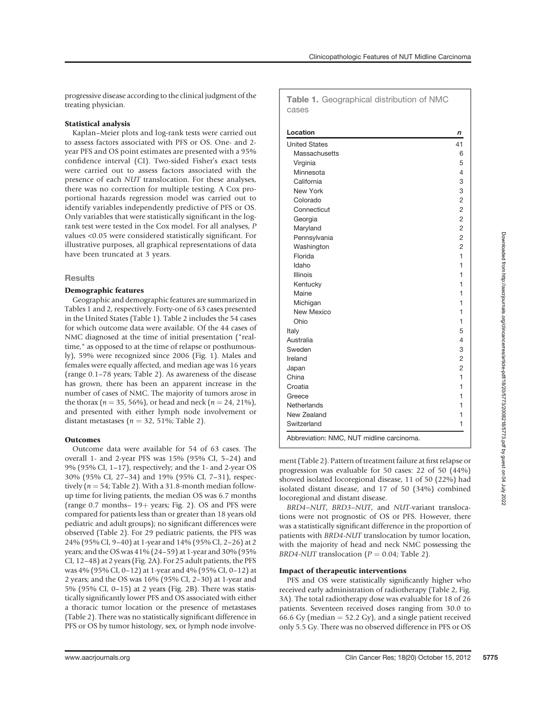progressive disease according to the clinical judgment of the treating physician.

# Statistical analysis

Kaplan–Meier plots and log-rank tests were carried out to assess factors associated with PFS or OS. One- and 2 year PFS and OS point estimates are presented with a 95% confidence interval (CI). Two-sided Fisher's exact tests were carried out to assess factors associated with the presence of each NUT translocation. For these analyses, there was no correction for multiple testing. A Cox proportional hazards regression model was carried out to identify variables independently predictive of PFS or OS. Only variables that were statistically significant in the logrank test were tested in the Cox model. For all analyses, P values <0.05 were considered statistically significant. For illustrative purposes, all graphical representations of data have been truncated at 3 years.

# **Results**

# Demographic features

Geographic and demographic features are summarized in Tables 1 and 2, respectively. Forty-one of 63 cases presented in the United States (Table 1). Table 2 includes the 54 cases for which outcome data were available. Of the 44 cases of NMC diagnosed at the time of initial presentation ("realtime," as opposed to at the time of relapse or posthumously), 59% were recognized since 2006 (Fig. 1). Males and females were equally affected, and median age was 16 years (range 0.1–78 years; Table 2). As awareness of the disease has grown, there has been an apparent increase in the number of cases of NMC. The majority of tumors arose in the thorax ( $n = 35, 56\%$ ), or head and neck ( $n = 24, 21\%$ ), and presented with either lymph node involvement or distant metastases ( $n = 32$ , 51%; Table 2).

## **Outcomes**

Outcome data were available for 54 of 63 cases. The overall 1- and 2-year PFS was 15% (95% CI, 5–24) and 9% (95% CI, 1–17), respectively; and the 1- and 2-year OS 30% (95% CI, 27–34) and 19% (95% CI, 7–31), respectively ( $n = 54$ ; Table 2). With a 31.8-month median followup time for living patients, the median OS was 6.7 months (range  $0.7$  months-  $19+$  years; Fig. 2). OS and PFS were compared for patients less than or greater than 18 years old pediatric and adult groups); no significant differences were observed (Table 2). For 29 pediatric patients, the PFS was 24% (95% CI, 9–40) at 1-year and 14% (95% CI, 2–26) at 2 years; and the OS was 41% (24–59) at 1-year and 30% (95% CI, 12–48) at 2 years (Fig. 2A). For 25 adult patients, the PFS was 4% (95% CI, 0–12) at 1-year and 4% (95% CI, 0–12) at 2 years; and the OS was 16% (95% CI, 2–30) at 1-year and 5% (95% CI, 0–15) at 2 years (Fig. 2B). There was statistically significantly lower PFS and OS associated with either a thoracic tumor location or the presence of metastases (Table 2). There was no statistically significant difference in PFS or OS by tumor histology, sex, or lymph node involve-

Table 1. Geographical distribution of NMC cases

| Location                                  | n              |
|-------------------------------------------|----------------|
| <b>United States</b>                      | 41             |
| Massachusetts                             | 6              |
| Virginia                                  | 5              |
| Minnesota                                 | 4              |
| California                                | 3              |
| New York                                  | 3              |
| Colorado                                  | $\overline{2}$ |
| Connecticut                               | $\overline{2}$ |
| Georgia                                   | $\overline{c}$ |
| Maryland                                  | $\overline{2}$ |
| Pennsylvania                              | $\overline{2}$ |
| Washington                                | $\overline{c}$ |
| Florida                                   | 1              |
| Idaho                                     | 1              |
| Illinois                                  | 1              |
| Kentucky                                  | 1              |
| Maine                                     | 1              |
| Michigan                                  | 1              |
| New Mexico                                | 1              |
| Ohio                                      | 1              |
| Italy                                     | 5              |
| Australia                                 | 4              |
| Sweden                                    | 3              |
| Ireland                                   | 2              |
| Japan                                     | $\overline{2}$ |
| China                                     | 1              |
| Croatia                                   | 1              |
| Greece                                    | 1              |
| Netherlands                               | 1              |
| New Zealand                               | 1              |
| Switzerland                               | 1              |
| Abbreviation: NMC, NUT midline carcinoma. |                |

ment (Table 2). Pattern of treatment failure at first relapse or progression was evaluable for 50 cases: 22 of 50 (44%) showed isolated locoregional disease, 11 of 50 (22%) had isolated distant disease, and 17 of 50 (34%) combined locoregional and distant disease.

BRD4–NUT, BRD3–NUT, and NUT-variant translocations were not prognostic of OS or PFS. However, there was a statistically significant difference in the proportion of patients with BRD4-NUT translocation by tumor location, with the majority of head and neck NMC possessing the BRD4-NUT translocation ( $P = 0.04$ ; Table 2).

## Impact of therapeutic interventions

PFS and OS were statistically significantly higher who received early administration of radiotherapy (Table 2, Fig. 3A). The total radiotherapy dose was evaluable for 18 of 26 patients. Seventeen received doses ranging from 30.0 to 66.6 Gy (median  $=$  52.2 Gy), and a single patient received only 5.5 Gy. There was no observed difference in PFS or OS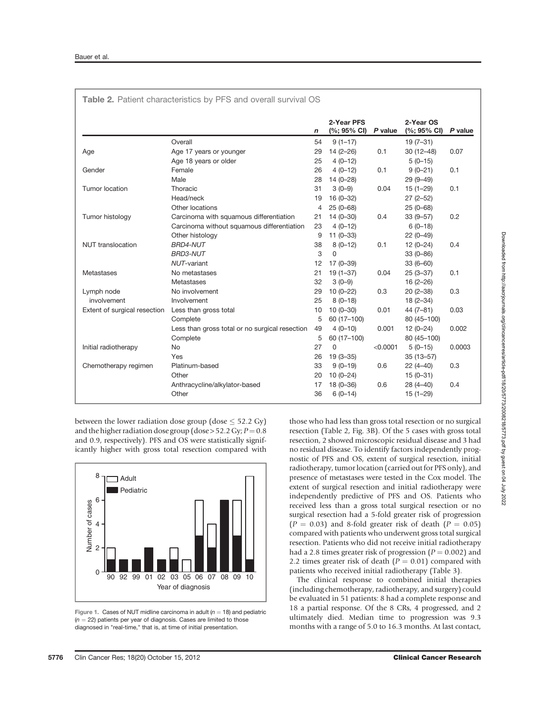|                              | Table 2. Patient characteristics by PFS and overall survival OS |    |                                     |          |                                                      |         |
|------------------------------|-----------------------------------------------------------------|----|-------------------------------------|----------|------------------------------------------------------|---------|
|                              |                                                                 | n  | 2-Year PFS<br>$(%; 95% \text{ Cl})$ | P value  | 2-Year OS<br>$(% \mathcal{O}_{0}^{\ast}$ (%; 95% CI) | P value |
|                              | Overall                                                         | 54 | $9(1-17)$                           |          | $19(7-31)$                                           |         |
| Age                          | Age 17 years or younger                                         | 29 | $14(2 - 26)$                        | 0.1      | $30(12-48)$                                          | 0.07    |
|                              | Age 18 years or older                                           | 25 | $4(0-12)$                           |          | $5(0-15)$                                            |         |
| Gender                       | Female                                                          | 26 | $4(0-12)$                           | 0.1      | $9(0-21)$                                            | 0.1     |
|                              | Male                                                            | 28 | $14(0-28)$                          |          | $29(9 - 49)$                                         |         |
| Tumor location               | Thoracic                                                        | 31 | $3(0-9)$                            | 0.04     | $15(1 - 29)$                                         | 0.1     |
|                              | Head/neck                                                       | 19 | $16(0-32)$                          |          | $27(2 - 52)$                                         |         |
|                              | Other locations                                                 | 4  | $25(0-68)$                          |          | $25(0-68)$                                           |         |
| Tumor histology              | Carcinoma with squamous differentiation                         | 21 | $14(0 - 30)$                        | 0.4      | $33(9 - 57)$                                         | 0.2     |
|                              | Carcinoma without squamous differentiation                      | 23 | $4(0-12)$                           |          | $6(0-18)$                                            |         |
|                              | Other histology                                                 | 9  | $11(0-33)$                          |          | $22(0-49)$                                           |         |
| <b>NUT</b> translocation     | <b>BRD4-NUT</b>                                                 | 38 | $8(0-12)$                           | 0.1      | $12(0-24)$                                           | 0.4     |
|                              | <b>BRD3-NUT</b>                                                 | 3  | $\Omega$                            |          | $33(0 - 86)$                                         |         |
|                              | NUT-variant                                                     | 12 | $17(0-39)$                          |          | $33(6 - 60)$                                         |         |
| Metastases                   | No metastases                                                   | 21 | $19(1-37)$                          | 0.04     | $25(3-37)$                                           | 0.1     |
|                              | Metastases                                                      | 32 | $3(0-9)$                            |          | $16(2 - 26)$                                         |         |
| Lymph node                   | No involvement                                                  | 29 | $10(0-22)$                          | 0.3      | $20(2-38)$                                           | 0.3     |
| involvement                  | Involvement                                                     | 25 | $8(0-18)$                           |          | $18(2 - 34)$                                         |         |
| Extent of surgical resection | Less than gross total                                           | 10 | $10(0 - 30)$                        | 0.01     | $44(7-81)$                                           | 0.03    |
|                              | Complete                                                        | 5  | 60 (17-100)                         |          | 80 (45-100)                                          |         |
|                              | Less than gross total or no surgical resection                  | 49 | $4(0-10)$                           | 0.001    | $12(0-24)$                                           | 0.002   |
|                              | Complete                                                        | 5  | 60 (17-100)                         |          | 80 (45-100)                                          |         |
| Initial radiotherapy         | <b>No</b>                                                       | 27 | $\Omega$                            | < 0.0001 | $5(0-15)$                                            | 0.0003  |
|                              | Yes                                                             | 26 | $19(3 - 35)$                        |          | $35(13 - 57)$                                        |         |
| Chemotherapy regimen         | Platinum-based                                                  | 33 | $9(0-19)$                           | 0.6      | $22(4-40)$                                           | 0.3     |
|                              | Other                                                           | 20 | $10(0-24)$                          |          | $15(0-31)$                                           |         |
|                              | Anthracycline/alkylator-based                                   | 17 | $18(0 - 36)$                        | 0.6      | $28(4 - 40)$                                         | 0.4     |
|                              | Other                                                           | 36 | $6(0-14)$                           |          | $15(1 - 29)$                                         |         |

between the lower radiation dose group (dose  $\leq$  52.2 Gy) and the higher radiation dose group (dose > 52.2 Gy;  $P = 0.8$ and 0.9, respectively). PFS and OS were statistically significantly higher with gross total resection compared with



Figure 1. Cases of NUT midline carcinoma in adult ( $n = 18$ ) and pediatric  $(n = 22)$  patients per year of diagnosis. Cases are limited to those diagnosed in "real-time," that is, at time of initial presentation.

those who had less than gross total resection or no surgical resection (Table 2, Fig. 3B). Of the 5 cases with gross total resection, 2 showed microscopic residual disease and 3 had no residual disease. To identify factors independently prognostic of PFS and OS, extent of surgical resection, initial radiotherapy, tumor location (carried out for PFS only), and presence of metastases were tested in the Cox model. The extent of surgical resection and initial radiotherapy were independently predictive of PFS and OS. Patients who received less than a gross total surgical resection or no surgical resection had a 5-fold greater risk of progression  $(P = 0.03)$  and 8-fold greater risk of death  $(P = 0.05)$ compared with patients who underwent gross total surgical resection. Patients who did not receive initial radiotherapy had a 2.8 times greater risk of progression ( $P = 0.002$ ) and 2.2 times greater risk of death ( $P = 0.01$ ) compared with patients who received initial radiotherapy (Table 3).

The clinical response to combined initial therapies (including chemotherapy, radiotherapy, and surgery) could be evaluated in 51 patients: 8 had a complete response and 18 a partial response. Of the 8 CRs, 4 progressed, and 2 ultimately died. Median time to progression was 9.3 months with a range of 5.0 to 16.3 months. At last contact,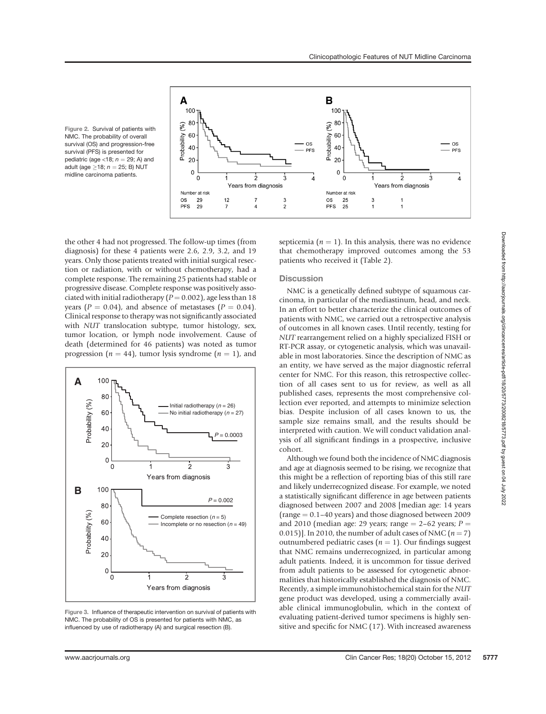

Figure 2. Survival of patients with NMC. The probability of overall survival (OS) and progression-free survival (PFS) is presented for pediatric (age <18;  $n = 29$ ; A) and adult (age  $\geq$ 18;  $n = 25$ ; B) NUT midline carcinoma patients.

the other 4 had not progressed. The follow-up times (from diagnosis) for these 4 patients were 2.6, 2.9, 3.2, and 19 years. Only those patients treated with initial surgical resection or radiation, with or without chemotherapy, had a complete response. The remaining 25 patients had stable or progressive disease. Complete response was positively associated with initial radiotherapy ( $P = 0.002$ ), age less than 18 years ( $P = 0.04$ ), and absence of metastases ( $P = 0.04$ ). Clinical response to therapy was not significantly associated with NUT translocation subtype, tumor histology, sex, tumor location, or lymph node involvement. Cause of death (determined for 46 patients) was noted as tumor progression ( $n = 44$ ), tumor lysis syndrome ( $n = 1$ ), and



Figure 3. Influence of therapeutic intervention on survival of patients with NMC. The probability of OS is presented for patients with NMC, as influenced by use of radiotherapy (A) and surgical resection (B).

septicemia ( $n = 1$ ). In this analysis, there was no evidence that chemotherapy improved outcomes among the 53 patients who received it (Table 2).

## **Discussion**

NMC is a genetically defined subtype of squamous carcinoma, in particular of the mediastinum, head, and neck. In an effort to better characterize the clinical outcomes of patients with NMC, we carried out a retrospective analysis of outcomes in all known cases. Until recently, testing for NUT rearrangement relied on a highly specialized FISH or RT-PCR assay, or cytogenetic analysis, which was unavailable in most laboratories. Since the description of NMC as an entity, we have served as the major diagnostic referral center for NMC. For this reason, this retrospective collection of all cases sent to us for review, as well as all published cases, represents the most comprehensive collection ever reported, and attempts to minimize selection bias. Despite inclusion of all cases known to us, the sample size remains small, and the results should be interpreted with caution. We will conduct validation analysis of all significant findings in a prospective, inclusive cohort.

Although we found both the incidence of NMC diagnosis and age at diagnosis seemed to be rising, we recognize that this might be a reflection of reporting bias of this still rare and likely underrecognized disease. For example, we noted a statistically significant difference in age between patients diagnosed between 2007 and 2008 [median age: 14 years (range  $= 0.1-40$  years) and those diagnosed between 2009 and 2010 (median age: 29 years; range  $= 2-62$  years; P  $=$ 0.015)]. In 2010, the number of adult cases of NMC  $(n = 7)$ outnumbered pediatric cases ( $n = 1$ ). Our findings suggest that NMC remains underrecognized, in particular among adult patients. Indeed, it is uncommon for tissue derived from adult patients to be assessed for cytogenetic abnormalities that historically established the diagnosis of NMC. Recently, a simple immunohistochemical stain for the NUT gene product was developed, using a commercially available clinical immunoglobulin, which in the context of evaluating patient-derived tumor specimens is highly sensitive and specific for NMC (17). With increased awareness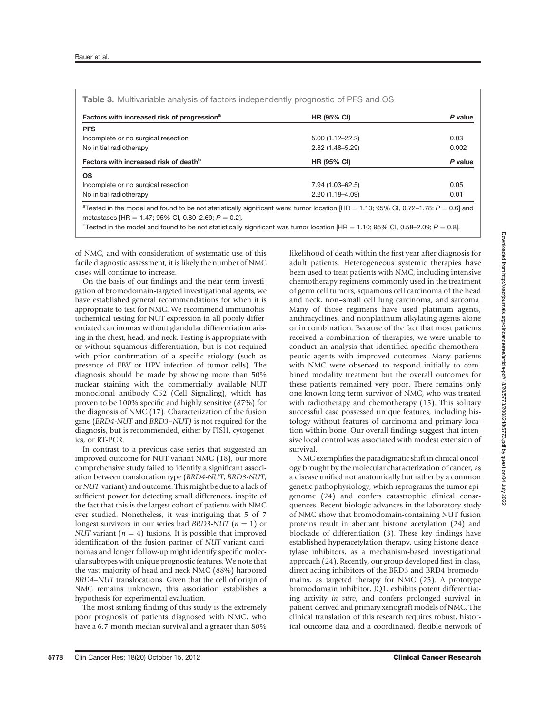| Factors with increased risk of progression <sup>a</sup> | <b>HR (95% CI)</b>  | P value |
|---------------------------------------------------------|---------------------|---------|
| <b>PFS</b>                                              |                     |         |
| Incomplete or no surgical resection                     | $5.00(1.12 - 22.2)$ | 0.03    |
| No initial radiotherapy                                 | $2.82(1.48 - 5.29)$ | 0.002   |
| Factors with increased risk of death <sup>b</sup>       | <b>HR (95% CI)</b>  | P value |
| <b>OS</b>                                               |                     |         |
| Incomplete or no surgical resection                     | 7.94 (1.03-62.5)    | 0.05    |
| No initial radiotherapy                                 | $2.20(1.18 - 4.09)$ | 0.01    |

metastases [HR = 1.47; 95% CI, 0.80–2.69; P = 0.2].<br><sup>b</sup>Tested in the model and found to be not statistically significant was tumor location [HR = 1.10; 95% CI, 0.58–2.09; P = 0.8].

of NMC, and with consideration of systematic use of this facile diagnostic assessment, it is likely the number of NMC cases will continue to increase.

On the basis of our findings and the near-term investigation of bromodomain-targeted investigational agents, we have established general recommendations for when it is appropriate to test for NMC. We recommend immunohistochemical testing for NUT expression in all poorly differentiated carcinomas without glandular differentiation arising in the chest, head, and neck. Testing is appropriate with or without squamous differentiation, but is not required with prior confirmation of a specific etiology (such as presence of EBV or HPV infection of tumor cells). The diagnosis should be made by showing more than 50% nuclear staining with the commercially available NUT monoclonal antibody C52 (Cell Signaling), which has proven to be 100% specific and highly sensitive (87%) for the diagnosis of NMC (17). Characterization of the fusion gene (BRD4-NUT and BRD3–NUT) is not required for the diagnosis, but is recommended, either by FISH, cytogenetics, or RT-PCR.

In contrast to a previous case series that suggested an improved outcome for NUT-variant NMC (18), our more comprehensive study failed to identify a significant association between translocation type (BRD4-NUT, BRD3-NUT, or NUT-variant) and outcome. This might be due to a lack of sufficient power for detecting small differences, inspite of the fact that this is the largest cohort of patients with NMC ever studied. Nonetheless, it was intriguing that 5 of 7 longest survivors in our series had BRD3-NUT ( $n = 1$ ) or NUT-variant ( $n = 4$ ) fusions. It is possible that improved identification of the fusion partner of NUT-variant carcinomas and longer follow-up might identify specific molecular subtypes with unique prognostic features. We note that the vast majority of head and neck NMC (88%) harbored BRD4–NUT translocations. Given that the cell of origin of NMC remains unknown, this association establishes a hypothesis for experimental evaluation.

The most striking finding of this study is the extremely poor prognosis of patients diagnosed with NMC, who have a 6.7-month median survival and a greater than 80% likelihood of death within the first year after diagnosis for adult patients. Heterogeneous systemic therapies have been used to treat patients with NMC, including intensive chemotherapy regimens commonly used in the treatment of germ cell tumors, squamous cell carcinoma of the head and neck, non–small cell lung carcinoma, and sarcoma. Many of those regimens have used platinum agents, anthracyclines, and nonplatinum alkylating agents alone or in combination. Because of the fact that most patients received a combination of therapies, we were unable to conduct an analysis that identified specific chemotherapeutic agents with improved outcomes. Many patients with NMC were observed to respond initially to combined modality treatment but the overall outcomes for these patients remained very poor. There remains only one known long-term survivor of NMC, who was treated with radiotherapy and chemotherapy (15). This solitary successful case possessed unique features, including histology without features of carcinoma and primary location within bone. Our overall findings suggest that intensive local control was associated with modest extension of survival.

NMC exemplifies the paradigmatic shift in clinical oncology brought by the molecular characterization of cancer, as a disease unified not anatomically but rather by a common genetic pathophysiology, which reprograms the tumor epigenome (24) and confers catastrophic clinical consequences. Recent biologic advances in the laboratory study of NMC show that bromodomain-containing NUT fusion proteins result in aberrant histone acetylation (24) and blockade of differentiation (3). These key findings have established hyperacetylation therapy, using histone deacetylase inhibitors, as a mechanism-based investigational approach (24). Recently, our group developed first-in-class, direct-acting inhibitors of the BRD3 and BRD4 bromodomains, as targeted therapy for NMC (25). A prototype bromodomain inhibitor, JQ1, exhibits potent differentiating activity in vitro, and confers prolonged survival in patient-derived and primary xenograft models of NMC. The clinical translation of this research requires robust, historical outcome data and a coordinated, flexible network of